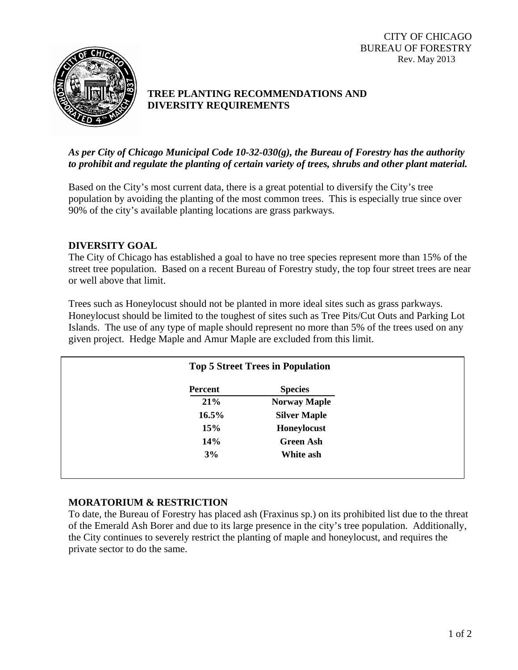CITY OF CHICAGO BUREAU OF FORESTRY Rev. May 2013



# **TREE PLANTING RECOMMENDATIONS AND DIVERSITY REQUIREMENTS**

## *As per City of Chicago Municipal Code 10-32-030(g), the Bureau of Forestry has the authority to prohibit and regulate the planting of certain variety of trees, shrubs and other plant material.*

Based on the City's most current data, there is a great potential to diversify the City's tree population by avoiding the planting of the most common trees. This is especially true since over 90% of the city's available planting locations are grass parkways.

## **DIVERSITY GOAL**

The City of Chicago has established a goal to have no tree species represent more than 15% of the street tree population. Based on a recent Bureau of Forestry study, the top four street trees are near or well above that limit.

Trees such as Honeylocust should not be planted in more ideal sites such as grass parkways. Honeylocust should be limited to the toughest of sites such as Tree Pits/Cut Outs and Parking Lot Islands. The use of any type of maple should represent no more than 5% of the trees used on any given project. Hedge Maple and Amur Maple are excluded from this limit.

|          | <b>Top 5 Street Trees in Population</b> |  |
|----------|-----------------------------------------|--|
| Percent  | <b>Species</b>                          |  |
| 21%      | <b>Norway Maple</b>                     |  |
| $16.5\%$ | <b>Silver Maple</b>                     |  |
| 15%      | Honeylocust                             |  |
| 14%      | <b>Green Ash</b>                        |  |
| 3%       | White ash                               |  |

## **MORATORIUM & RESTRICTION**

To date, the Bureau of Forestry has placed ash (Fraxinus sp.) on its prohibited list due to the threat of the Emerald Ash Borer and due to its large presence in the city's tree population. Additionally, the City continues to severely restrict the planting of maple and honeylocust, and requires the private sector to do the same.